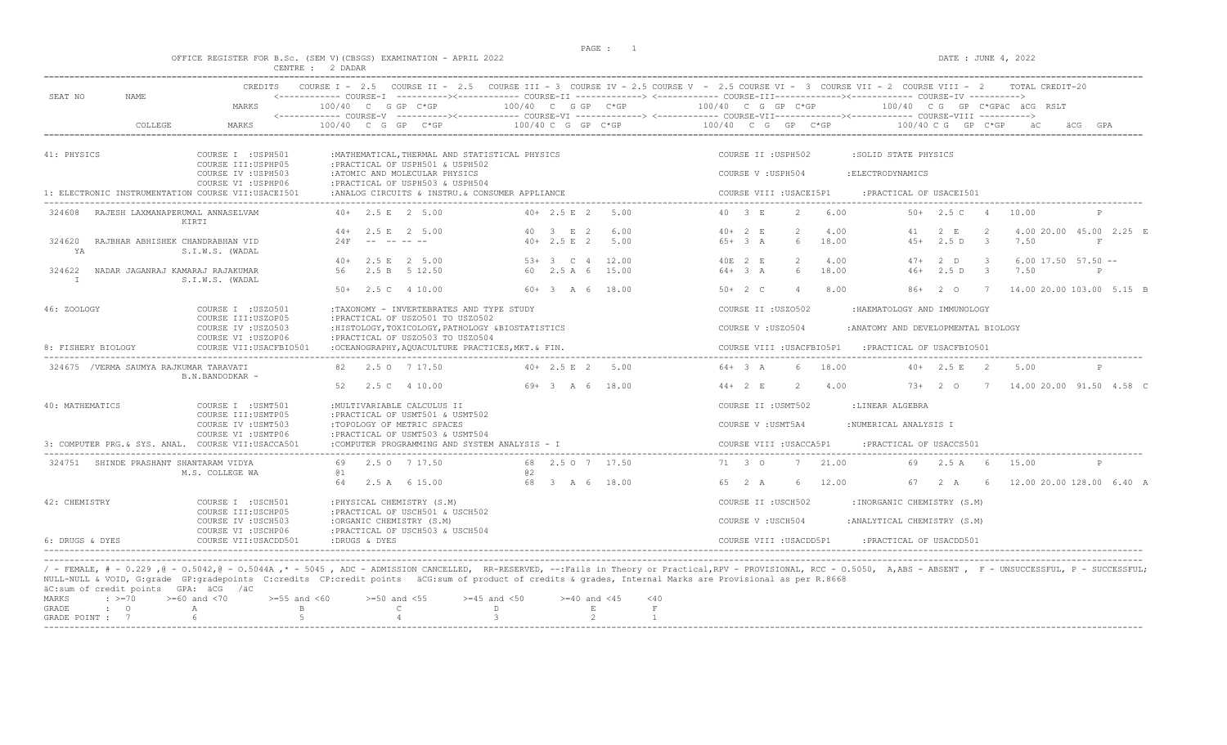$DATA: JUNE 4, 2022$ 

|  |  |                  |  | OFFICE REGISTER FOR B.SC. (SEM V)(CBSGS) EXAMINATION - APRIL 2022 |  |  |
|--|--|------------------|--|-------------------------------------------------------------------|--|--|
|  |  | CENTRE : 2 DADAR |  |                                                                   |  |  |

| SEAT NO<br><b>NAME</b>                                               | CREDITS                                                                            |                                                                                                                                                          |                                                                                                       | COURSE I - 2.5 COURSE II - 2.5 COURSE III - 3 COURSE IV - 2.5 COURSE V - 2.5 COURSE VI - 3 COURSE VII - 2 COURSE VIII - 2<br>TOTAL CREDIT-20<br><------------ COURSE-I ----------><----------- COURSE-II -------------> <------------ COURSE-III------------><----------- COURSE-IV ----------> |              |  |  |  |  |
|----------------------------------------------------------------------|------------------------------------------------------------------------------------|----------------------------------------------------------------------------------------------------------------------------------------------------------|-------------------------------------------------------------------------------------------------------|-------------------------------------------------------------------------------------------------------------------------------------------------------------------------------------------------------------------------------------------------------------------------------------------------|--------------|--|--|--|--|
|                                                                      | MARKS                                                                              | 100/40 C G GP C*GP                                                                                                                                       | 100/40 C G GP C*GP                                                                                    | 100/40 C G GP C*GP<br>100/40 CG GP C*GPAC ACG RSLT                                                                                                                                                                                                                                              |              |  |  |  |  |
| COLLEGE                                                              | MARKS                                                                              | 100/40 C G GP C*GP                                                                                                                                       | $100/40$ C G GP C*GP                                                                                  | 100/40 C G GP C*GP<br>$100/40$ C G GP C*GP<br>äC<br>äCG                                                                                                                                                                                                                                         | GPA          |  |  |  |  |
| 41: PHYSICS                                                          | COURSE I : USPH501<br>COURSE III: USPHP05                                          | : MATHEMATICAL, THERMAL AND STATISTICAL PHYSICS<br>:PRACTICAL OF USPH501 & USPH502                                                                       |                                                                                                       | COURSE II : USPH502<br>:SOLID STATE PHYSICS                                                                                                                                                                                                                                                     |              |  |  |  |  |
|                                                                      | COURSE IV : USPH503<br>COURSE VI : USPHP06                                         | :ATOMIC AND MOLECULAR PHYSICS<br>: PRACTICAL OF USPH503 & USPH504                                                                                        |                                                                                                       | COURSE V: USPH504<br>: ELECTRODYNAMICS                                                                                                                                                                                                                                                          |              |  |  |  |  |
| 1: ELECTRONIC INSTRUMENTATION COURSE VII:USACEI501                   |                                                                                    | :ANALOG CIRCUITS & INSTRU. & CONSUMER APPLIANCE                                                                                                          |                                                                                                       | COURSE VIII : USACEI5P1<br>: PRACTICAL OF USACEI501                                                                                                                                                                                                                                             |              |  |  |  |  |
| 324608<br>RAJESH LAXMANAPERUMAL ANNASELVAM                           | KIRTI                                                                              | $40+$ 2.5 E 2 5.00                                                                                                                                       | $40+2.5$ F 2<br>5.00                                                                                  | 40 3 E<br>6.00<br>2.5C<br>$\mathcal{P}$<br>$50+$<br>10.00<br>$\overline{a}$                                                                                                                                                                                                                     |              |  |  |  |  |
|                                                                      |                                                                                    | $44+$ 2.5 E 2 5.00                                                                                                                                       | 40 3 E 2<br>6.00                                                                                      | 4.00<br>$40+2 E$<br>$\overline{2}$<br>2 E<br>4.00 20.00 45.00 2.25 E<br>41<br>-2                                                                                                                                                                                                                |              |  |  |  |  |
| 324620<br>RAJBHAR ABHISHEK CHANDRABHAN VID<br>ΥA                     | S.I.W.S. (WADAL                                                                    | 24F<br>----------                                                                                                                                        | 5.00<br>$40+2.5 E$ 2                                                                                  | 2.5D<br>7.50<br>$65+3 A$<br>6<br>18.00<br>$4.5+$<br>$\overline{\mathbf{3}}$                                                                                                                                                                                                                     | $\mathbf{F}$ |  |  |  |  |
| NADAR JAGANRAJ KAMARAJ RAJAKUMAR<br>324622                           |                                                                                    | 2.5 E 2 5.00<br>$40+$<br>2.5 B<br>56<br>5 12.50                                                                                                          | 12.00<br>$53+3$ C 4<br>60 2.5 A 6<br>15.00                                                            | 4.00<br>40E 2 E<br>$\overline{2}$<br>$47+$<br>2 <sub>0</sub><br>$\mathcal{R}$<br>$6.00$ 17.50 57.50 $-$<br>$64+3A$<br>18.00<br>7.50<br>6<br>2.5D<br>$\overline{\phantom{a}}$<br>$46+$                                                                                                           | P            |  |  |  |  |
| $\mathbb{I}$                                                         | S.I.W.S. (WADAL                                                                    | $50+$ 2.5 C 4 10.00                                                                                                                                      | 60+ 3 A 6 18.00                                                                                       | $50+2$ C<br>8.00<br>$86+20$<br>14.00 20.00 103.00 5.15 B<br>$\overline{4}$<br>$7\phantom{0}7$                                                                                                                                                                                                   |              |  |  |  |  |
| 46: ZOOLOGY                                                          | COURSE I : USZ0501<br>COURSE III: USZOP05                                          | :TAXONOMY - INVERTEBRATES AND TYPE STUDY<br>: PRACTICAL OF USZ0501 TO USZ0502                                                                            |                                                                                                       | COURSE II : USZ0502<br>:HAEMATOLOGY AND IMMUNOLOGY                                                                                                                                                                                                                                              |              |  |  |  |  |
|                                                                      | COURSE IV : USZ0503<br>COURSE VI : USZOP06                                         |                                                                                                                                                          | : HISTOLOGY, TOXICOLOGY, PATHOLOGY & BIOSTATISTICS                                                    | COURSE V: USZO504<br>: ANATOMY AND DEVELOPMENTAL BIOLOGY                                                                                                                                                                                                                                        |              |  |  |  |  |
| 8: FISHERY BIOLOGY                                                   | COURSE VII: USACFBIO501                                                            | : PRACTICAL OF USZ0503 TO USZ0504<br>:OCEANOGRAPHY, AQUACULTURE PRACTICES, MKT. & FIN.                                                                   |                                                                                                       | COURSE VIII : USACFBIO5P1<br>: PRACTICAL OF USACFBIO501                                                                                                                                                                                                                                         |              |  |  |  |  |
|                                                                      | 324675 / VERMA SAUMYA RAJKUMAR TARAVATI<br>B.N.BANDODKAR -                         |                                                                                                                                                          | $40+2.5 E$ 2<br>5.00                                                                                  | $64 + 3 A$<br>6<br>18.00<br>2.5 E<br>$\overline{2}$<br>5.00<br>$40+$                                                                                                                                                                                                                            | P            |  |  |  |  |
|                                                                      |                                                                                    | 2.5 C 4 10.00<br>52                                                                                                                                      | $69+3$ A 6 18.00                                                                                      | $44 + 2 E$<br>4.00<br>73+ 2 0 7 14.00 20.00 91.50 4.58 C<br>2                                                                                                                                                                                                                                   |              |  |  |  |  |
| 40: MATHEMATICS                                                      | COURSE I : USMT501<br>COURSE III: USMTP05                                          | : MULTIVARIABLE CALCULUS II<br>: PRACTICAL OF USMT501 & USMT502                                                                                          |                                                                                                       | COURSE II : USMT502<br>:LINEAR ALGEBRA                                                                                                                                                                                                                                                          |              |  |  |  |  |
|                                                                      | COURSE IV : USMT503<br>COURSE VI : USMTP06                                         | :TOPOLOGY OF METRIC SPACES<br>: PRACTICAL OF USMT503 & USMT504                                                                                           |                                                                                                       | COURSE V : USMT5A4<br>:NUMERICAL ANALYSIS I                                                                                                                                                                                                                                                     |              |  |  |  |  |
| 3: COMPUTER PRG.& SYS. ANAL. COURSE VII:USACCA501                    |                                                                                    | :COMPUTER PROGRAMMING AND SYSTEM ANALYSIS - I                                                                                                            |                                                                                                       | COURSE VIII : USACCA5P1<br>: PRACTICAL OF USACCS501                                                                                                                                                                                                                                             |              |  |  |  |  |
| 324751 SHINDE PRASHANT SHANTARAM VIDYA                               | M.S. COLLEGE WA                                                                    | 2.5 0 7 17.50<br>69<br>@1                                                                                                                                | 68 2.5 0 7 17.50<br>02                                                                                | 71 3 0<br>21.00<br>2.5 A 6<br>15.00<br>7<br>69                                                                                                                                                                                                                                                  | P            |  |  |  |  |
|                                                                      |                                                                                    | 2.5 A 6 15.00<br>64                                                                                                                                      | 68 3 A 6 18.00                                                                                        | 65 2 A<br>12.00<br>67 2 A 6 12.00 20.00 128.00 6.40 A<br>6                                                                                                                                                                                                                                      |              |  |  |  |  |
| 42: CHEMISTRY                                                        | COURSE I : USCH501<br>COURSE III:USCHP05                                           | : PHYSICAL CHEMISTRY (S.M)<br>: PRACTICAL OF USCH501 & USCH502                                                                                           |                                                                                                       | COURSE II : USCH502<br>: INORGANIC CHEMISTRY (S.M)                                                                                                                                                                                                                                              |              |  |  |  |  |
|                                                                      | COURSE IV : USCH503<br>COURSE VI : USCHP06                                         | :ORGANIC CHEMISTRY (S.M)<br>: PRACTICAL OF USCH503 & USCH504                                                                                             |                                                                                                       | COURSE V : USCH504<br>: ANALYTICAL CHEMISTRY (S.M)                                                                                                                                                                                                                                              |              |  |  |  |  |
| 6: DRUGS & DYES                                                      | COURSE VII: USACDD501                                                              | :DRUGS & DYES                                                                                                                                            |                                                                                                       | COURSE VIII : USACDD5P1<br>: PRACTICAL OF USACDD501                                                                                                                                                                                                                                             |              |  |  |  |  |
|                                                                      |                                                                                    |                                                                                                                                                          |                                                                                                       |                                                                                                                                                                                                                                                                                                 |              |  |  |  |  |
| äC:sum of credit points GPA: äCG /äC                                 |                                                                                    | NULL-NULL & VOID, G:grade GP:gradepoints C:credits CP:credit points äCG:sum of product of credits & grades, Internal Marks are Provisional as per R.8668 |                                                                                                       | / - FEMALE, # - 0.229,0 - 0.5042,0 - 0.5044A,* - 5045, ADC - ADMISSION CANCELLED, RR-RESERVED, --:Fails in Theory or Practical,RPV - PROVISIONAL, RCC - 0.5050, A,ABS - ABSENT, F - UNSUCCESSFUL, P - SUCCESSFUL;                                                                               |              |  |  |  |  |
| MARKS<br>$\div$ >=70<br><b>GRADE</b><br>$\cdot$ 0<br>GRADE POINT : 7 | $>= 60$ and $< 70$<br>$>=55$ and $<60$<br>$\mathbb{A}$<br>$\mathbf{B}$<br>-5<br>-6 | $>=50$ and $<55$<br>$\mathbb{C}$<br>$\overline{4}$                                                                                                       | $>=45$ and $<50$<br>$>= 40$ and $< 45$<br>< 40<br>D<br>E<br>F<br>$\mathcal{B}$<br>2<br>$\overline{1}$ |                                                                                                                                                                                                                                                                                                 |              |  |  |  |  |

-----------------------------------------------------------------------------------------------------------------------------------------------------------------------------------------------------------------------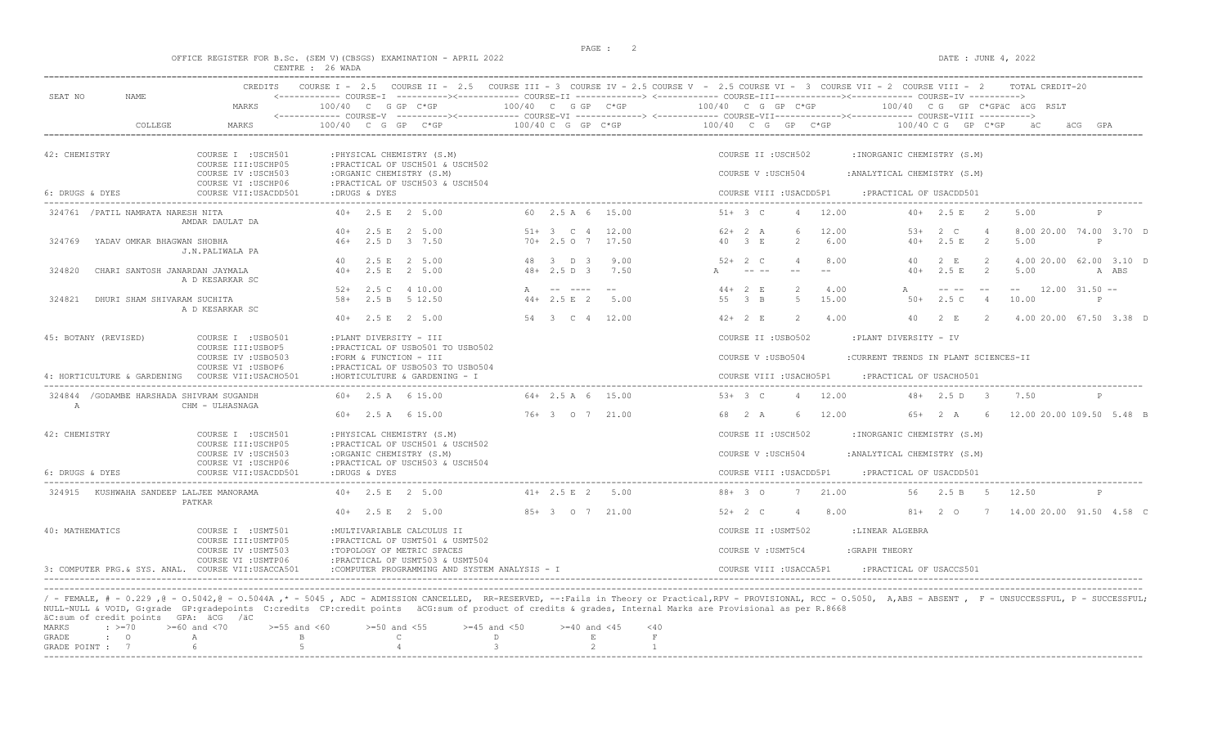$DATA: JUNE 4, 2022$ 

|  |  |                  |  | OFFICE REGISTER FOR B.Sc. (SEM V)(CBSGS) EXAMINATION - APRIL 2022 |  |  |
|--|--|------------------|--|-------------------------------------------------------------------|--|--|
|  |  | CENTRE : 26 WADA |  |                                                                   |  |  |

| SEAT NO<br>NAME                                   | MARKS                                                           | $100/40$ C G GP C*GP                                                                  | $100/40$ C G GP $C*GP$                      | $100/40$ C G GP C*GP                                        | $100/40$ C G GP C*GPAC ACG RSLT                                |                                  |  |  |  |  |  |
|---------------------------------------------------|-----------------------------------------------------------------|---------------------------------------------------------------------------------------|---------------------------------------------|-------------------------------------------------------------|----------------------------------------------------------------|----------------------------------|--|--|--|--|--|
| COLLEGE                                           | MARKS                                                           | $100/40$ C G GP                                                                       | $100/40$ C G GP C*GP                        | 100/40 C G GP C*GP                                          | $100/40 \, C \, G$<br>GP C*GP                                  |                                  |  |  |  |  |  |
| 42: CHEMISTRY                                     | COURSE I : USCH501<br>COURSE III: USCHP05                       | : PHYSICAL CHEMISTRY (S.M)<br>: PRACTICAL OF USCH501 & USCH502                        |                                             | COURSE II : USCH502                                         | :INORGANIC CHEMISTRY (S.M)                                     |                                  |  |  |  |  |  |
|                                                   | COURSE IV : USCH503<br>COURSE VI : USCHP06                      | :ORGANIC CHEMISTRY (S.M)<br>: PRACTICAL OF USCH503 & USCH504                          |                                             | COURSE V: USCH504                                           | : ANALYTICAL CHEMISTRY (S.M)                                   |                                  |  |  |  |  |  |
| 6: DRUGS & DYES                                   | COURSE VII: USACDD501                                           | :DRUGS & DYES                                                                         |                                             | COURSE VIII : USACDD5P1<br>------------------------         | : PRACTICAL OF USACDD501                                       |                                  |  |  |  |  |  |
| 324761 / PATIL NAMRATA NARESH NITA                | AMDAR DAULAT DA                                                 | 40+ 2.5 E 2 5.00                                                                      | 60 2.5 A 6 15.00                            | $51 + 3$ C<br>12.00<br>$\overline{4}$                       | $40+$ 2.5 E 2<br>5.00                                          | P                                |  |  |  |  |  |
| YADAV OMKAR BHAGWAN SHOBHA<br>324769              | J.N.PALIWALA PA                                                 | 40+ 2.5 E 2 5.00<br>46+ 2.5 D 3 7.50                                                  | $51+ 3 C 4$<br>12.00<br>$70+2.507$<br>17.50 | 6<br>12.00<br>$62+2 A$<br>40 3 E<br>6.00<br>2               | $53+$<br>2 C<br>2.5 E<br>$\overline{2}$<br>5.00<br>$40+$       | 8.00 20.00 74.00 3.70 D<br>P     |  |  |  |  |  |
| 324820<br>CHARI SANTOSH JANARDAN JAYMALA          | A D KESARKAR SC                                                 | 2.5 E 2 5.00<br>40<br>2.5 E<br>2 5.00<br>$40+$                                        | 9.00<br>48 3 D 3<br>$48 + 2.5$ D 3<br>7.50  | 8.00<br>$52+2$ C<br>$\overline{4}$<br>$- - - - -$           | 2 E<br>2<br>40<br>2.5 E<br>$40+$<br>2<br>5.00                  | 4.00 20.00 62.00 3.10 D<br>A ABS |  |  |  |  |  |
| 324821<br>DHURI SHAM SHIVARAM SUCHITA             | A D KESARKAR SC                                                 | $52+$<br>2.5 C<br>4 10.00<br>$58+$<br>2.5 B 5 12.50                                   | A<br>$44 + 2.5 E$ 2<br>5.00                 | $\overline{2}$<br>$44+2 E$<br>4.00<br>55 3 B<br>15.00<br>-5 | $\frac{1}{2}$<br>A<br>2.5C<br>$50+$<br>$\overline{4}$<br>10.00 | $12.00$ $31.50$ --<br>P          |  |  |  |  |  |
|                                                   |                                                                 | $40+$ 2.5 E 2 5.00                                                                    | 54 3 C 4 12.00                              | $42+2 E$<br><sup>2</sup><br>4.00                            | 40<br>2 E<br>$\overline{2}$                                    | 4.00 20.00 67.50 3.38 D          |  |  |  |  |  |
| 45: BOTANY (REVISED)                              | COURSE I : USB0501<br>COURSE III: USBOP5<br>COURSE IV : USB0503 | :PLANT DIVERSITY - III<br>: PRACTICAL OF USB0501 TO USB0502<br>:FORM & FUNCTION - III |                                             | COURSE II : USB0502<br>COURSE V: USB0504                    | :PLANT DIVERSITY - IV<br>:CURRENT TRENDS IN PLANT SCIENCES-II  |                                  |  |  |  |  |  |
| 4: HORTICULTURE & GARDENING                       | COURSE VI : USBOP6<br>COURSE VII: USACHO501                     | : PRACTICAL OF USB0503 TO USB0504<br>: HORTICULTURE & GARDENING - I                   |                                             | COURSE VIII : USACHO5P1                                     | :PRACTICAL OF USACH0501                                        |                                  |  |  |  |  |  |
| 324844 / GODAMBE HARSHADA SHIVRAM SUGANDH<br>A    | CHM - ULHASNAGA                                                 | $60+$ 2.5 A 6 15.00                                                                   | $64+2.5$ A 6 15.00                          | $53+3$ C<br>12.00<br>$\overline{4}$                         | $48+$ 2.5 D 3<br>7.50                                          | P                                |  |  |  |  |  |
|                                                   |                                                                 | $60+$ 2.5 A 6 15.00                                                                   | 76+ 3 0 7 21.00                             | 68 2 A<br>12.00<br>6                                        | 65+ 2 A 6 12.00 20.00 109.50 5.48 B                            |                                  |  |  |  |  |  |
| 42: CHEMISTRY                                     | COURSE I : USCH501<br>COURSE III: USCHP05                       | : PHYSICAL CHEMISTRY (S.M)<br>: PRACTICAL OF USCH501 & USCH502                        |                                             | COURSE II : USCH502                                         | :INORGANIC CHEMISTRY (S.M)                                     |                                  |  |  |  |  |  |
|                                                   | COURSE IV : USCH503<br>COURSE VI : USCHP06                      | :ORGANIC CHEMISTRY (S.M)<br>: PRACTICAL OF USCH503 & USCH504                          |                                             | COURSE V: USCH504                                           | : ANALYTICAL CHEMISTRY (S.M)                                   |                                  |  |  |  |  |  |
| 6: DRUGS & DYES                                   | COURSE VII: USACDD501                                           | :DRUGS & DYES                                                                         |                                             | COURSE VIII : USACDD5P1                                     | : PRACTICAL OF USACDD501                                       |                                  |  |  |  |  |  |
| 324915 KUSHWAHA SANDEEP LALJEE MANORAMA           | PATKAR                                                          | $40+$ 2.5 E 2 5.00                                                                    | $41+ 2.5 E 2$<br>5.00                       | $88 + 30$<br>21.00<br>7                                     | 56.<br>2.5 B 5<br>12.50                                        | P                                |  |  |  |  |  |
|                                                   |                                                                 | $40+$ 2.5 E 2 5.00                                                                    | 85+ 3 0 7 21.00                             | $52+2$ C<br>8.00<br>$\overline{4}$                          | 81+ 2 0 7 14.00 20.00 91.50 4.58 C                             |                                  |  |  |  |  |  |
| 40: MATHEMATICS                                   | COURSE I : USMT501<br>COURSE III: USMTP05                       | : MULTIVARIABLE CALCULUS II<br>: PRACTICAL OF USMT501 & USMT502                       |                                             | COURSE II : USMT502                                         | :LINEAR ALGEBRA                                                |                                  |  |  |  |  |  |
|                                                   | COURSE IV : USMT503<br>COURSE VI : USMTP06                      | :TOPOLOGY OF METRIC SPACES<br>: PRACTICAL OF USMT503 & USMT504                        |                                             | COURSE V : USMT5C4                                          | :GRAPH THEORY                                                  |                                  |  |  |  |  |  |
| 3: COMPUTER PRG & SYS. ANAL. COURSE VII:USACCA501 |                                                                 | :COMPUTER PROGRAMMING AND SYSTEM ANALYSIS - I                                         |                                             | COURSE VIII : USACCA5P1                                     | PRACTICAL OF USACCS501:                                        |                                  |  |  |  |  |  |

/ - FEMALE, # - 0.229 ,@ - 0.5042,@ - 0.5044A ,\* - 5045 , ADC - ADMISSION CANCELLED, RR-RESERVED, --:Fails in Theory or Practical,RPV - PROVISIONAL, RCC - 0.5050, A,ABS - ABSENT , F - UNSUCCESSFUL, P - SUCCESSFUL;<br>AULL-NUL

| MARKS |  | : >=70 $\rightarrow$ =60 and <70 $\rightarrow$ =55 and <60 $\rightarrow$ =50 and <55 $\rightarrow$ =45 and <50 $\rightarrow$ =40 and <45 <40 |  |        |  |  |
|-------|--|----------------------------------------------------------------------------------------------------------------------------------------------|--|--------|--|--|
|       |  | GRADE : O A B C                                                                                                                              |  | $\Box$ |  |  |
|       |  | GRADE POINT : $7$ 6 6 5 5 6 4                                                                                                                |  |        |  |  |
|       |  |                                                                                                                                              |  |        |  |  |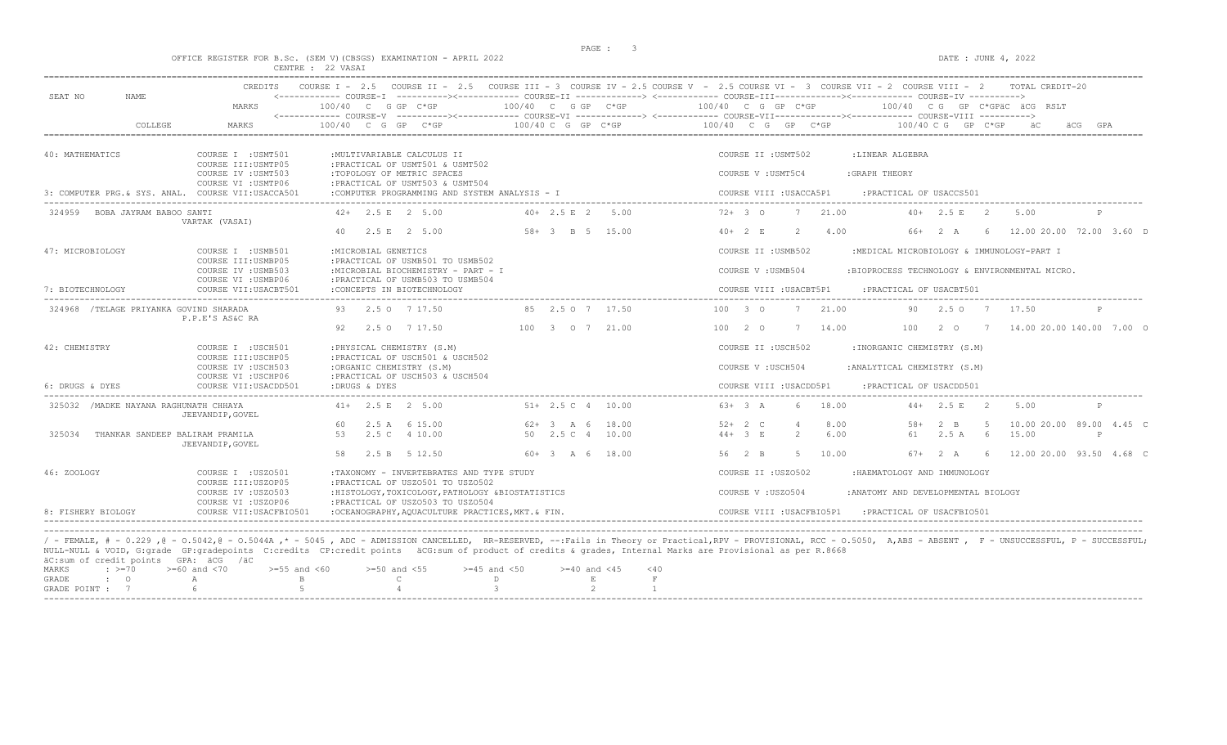DATE : JUNE  $4$ , 2022

|  |  |                   | OFFICE REGISTER FOR B.Sc. (SEM V) (CBSGS) EXAMINATION - APRIL 2022 |  |
|--|--|-------------------|--------------------------------------------------------------------|--|
|  |  | CENTRE : 22 VASAI |                                                                    |  |

|                                                    | CREDITS                                                           |                                                                                                  |                                           | COURSE I - 2.5 COURSE II - 2.5 COURSE III - 3 COURSE IV - 2.5 COURSE V - 2.5 COURSE VI - 3 COURSE VII - 2 COURSE VIII - 2<br>TOTAL CREDIT-20                                                         |  |  |  |  |  |
|----------------------------------------------------|-------------------------------------------------------------------|--------------------------------------------------------------------------------------------------|-------------------------------------------|------------------------------------------------------------------------------------------------------------------------------------------------------------------------------------------------------|--|--|--|--|--|
| SEAT NO<br>NAME                                    | MARKS                                                             | $100/40$ C G GP C*GP                                                                             | 100/40 C G GP C*GP                        | <------------ COURSE-T ----------><----------- COURSE-TT -------------> <------------ COURSE-TTT----------><--------><---------- COURSE-TT<br>100/40 C G GP C*GP<br>100/40 CG GP C*GPäC äCG RSLT     |  |  |  |  |  |
| COLLEGE                                            | <b>MARKS</b>                                                      | $100/40$ C G GP<br>$C*GP$                                                                        | $100/40 C$ G GP $C*GP$                    | <------------ COURSE-V ----------><----------- COURSE-VI -------------> <------------ COURSE-VIII------------- COURSE-VIII ----------><br>100/40 C G GP C*GP<br>$100/40 \, C \, G$<br>GP C*GP<br>GPA |  |  |  |  |  |
| 40: MATHEMATICS                                    | COURSE I : USMT501<br>COURSE III: USMTP05                         | : MULTIVARIABLE CALCULUS II<br>: PRACTICAL OF USMT501 & USMT502                                  |                                           | COURSE II : USMT502<br>:LINEAR ALGEBRA                                                                                                                                                               |  |  |  |  |  |
|                                                    | COURSE IV : USMT503<br>COURSE VI : USMTP06                        | :TOPOLOGY OF METRIC SPACES<br>: PRACTICAL OF USMT503 & USMT504                                   |                                           | : GRAPH THEORY<br>COURSE V: USMT5C4                                                                                                                                                                  |  |  |  |  |  |
| 3: COMPUTER PRG. & SYS. ANAL. COURSE VII:USACCA501 |                                                                   | :COMPUTER PROGRAMMING AND SYSTEM ANALYSIS - I                                                    |                                           | COURSE VIII : USACCA5P1<br>: PRACTICAL OF USACCS501                                                                                                                                                  |  |  |  |  |  |
| 324959 BOBA JAYRAM BABOO SANTI                     | VARTAK (VASAI)                                                    | $42+$ 2.5 E 2 5.00                                                                               | $40+2.5 E$ 2<br>5.00                      | $72+30$<br>21.00<br>7<br>$40+2.5 E$<br>5.00<br>- 2                                                                                                                                                   |  |  |  |  |  |
|                                                    |                                                                   | $2.5 E$ 2 5.00                                                                                   | 58+ 3 B 5 15.00                           | 4.00<br>12.00 20.00 72.00 3.60 D<br>$40+2 E$<br>$2^{1}$<br>2 A<br>66+<br>6                                                                                                                           |  |  |  |  |  |
| 47: MICROBIOLOGY                                   | COURSE I : USMB501<br>COURSE III: USMBP05                         | : MICROBIAL GENETICS<br>: PRACTICAL OF USMB501 TO USMB502                                        |                                           | COURSE II : USMB502<br>:MEDICAL MICROBIOLOGY & IMMUNOLOGY-PART I                                                                                                                                     |  |  |  |  |  |
|                                                    | COURSE IV : USMB503                                               | :MICROBIAL BIOCHEMISTRY - PART - I                                                               |                                           | COURSE V: USMB504<br>:BIOPROCESS TECHNOLOGY & ENVIRONMENTAL MICRO.                                                                                                                                   |  |  |  |  |  |
| 7: BIOTECHNOLOGY                                   | COURSE VI : USMBP06<br>COURSE VII: USACBT501                      | : PRACTICAL OF USMB503 TO USMB504<br>: CONCEPTS IN BIOTECHNOLOGY                                 |                                           | COURSE VIII : USACBT5P1<br>: PRACTICAL OF USACBT501                                                                                                                                                  |  |  |  |  |  |
| 324968 /TELAGE PRIYANKA GOVIND SHARADA             | P.P.E'S AS&C RA                                                   | 93 2.5 0 7 17.50                                                                                 | 85 2.5 0 7 17.50                          | 7 21.00<br>$100 \t30$<br>2.507<br>17.50<br>90.<br>P                                                                                                                                                  |  |  |  |  |  |
|                                                    |                                                                   | 92<br>2.5 0 7 17.50                                                                              | 100 3 0 7 21.00                           | 100<br>14.00 20.00 140.00 7.00 C<br>14.00<br>$2\degree$ 0<br>10020<br>7<br>$7\overline{)}$                                                                                                           |  |  |  |  |  |
| 42: CHEMISTRY                                      | COURSE I : USCH501                                                | : PHYSICAL CHEMISTRY (S.M)                                                                       |                                           | COURSE II : USCH502<br>:INORGANIC CHEMISTRY (S.M)                                                                                                                                                    |  |  |  |  |  |
|                                                    | COURSE III: USCHP05<br>COURSE IV : USCH503<br>COURSE VI : USCHP06 | : PRACTICAL OF USCH501 & USCH502<br>:ORGANIC CHEMISTRY (S.M)<br>: PRACTICAL OF USCH503 & USCH504 |                                           | COURSE V: USCH504<br>: ANALYTICAL CHEMISTRY (S.M)                                                                                                                                                    |  |  |  |  |  |
| 6: DRUGS & DYES                                    | COURSE VII: USACDD501                                             | :DRUGS & DYES                                                                                    |                                           | COURSE VIII : USACDD5P1<br>: PRACTICAL OF USACDD501                                                                                                                                                  |  |  |  |  |  |
| 325032 / MADKE NAYANA RAGHUNATH CHHAYA             | JEEVANDIP, GOVEL                                                  | $41+$ 2.5 E 2 5.00                                                                               | $51+$ 2.5 C 4 10.00                       | 18.00<br>$63+3 A$<br>$44+$ 2.5 E 2<br>5.00                                                                                                                                                           |  |  |  |  |  |
| 325034<br>THANKAR SANDEEP BALIRAM PRAMILA          |                                                                   | 2.5 A 6 15.00<br>60<br>53<br>2.5C<br>4 10.00                                                     | 62+ 3 A 6<br>18.00<br>50 2.5 C 4<br>10.00 | 10.00 20.00 89.00 4.45 C<br>$52+2$ C<br>8.00<br>$.58+$<br>$2 \quad B$<br>-5<br>$44 + 3 E$<br>$2^{1}$<br>6.00<br>2.5A<br>6<br>15.00<br>61<br>P                                                        |  |  |  |  |  |
|                                                    | JEEVANDIP, GOVEL                                                  | 58<br>2.5 B<br>5 12.50                                                                           | 60+ 3 A 6<br>18.00                        | 12.00 20.00 93.50 4.68 C<br>56 2 B<br>-5<br>10.00<br>$67+$<br>2 A<br>6                                                                                                                               |  |  |  |  |  |
| 46: ZOOLOGY                                        | COURSE I : USZ0501                                                | :TAXONOMY - INVERTEBRATES AND TYPE STUDY                                                         |                                           | COURSE II : USZ0502<br>: HAEMATOLOGY AND IMMUNOLOGY                                                                                                                                                  |  |  |  |  |  |
|                                                    | COURSE III:USZOP05<br>COURSE IV : USZ0503                         | : PRACTICAL OF USZ0501 TO USZ0502<br>: HISTOLOGY, TOXICOLOGY, PATHOLOGY & BIOSTATISTICS          |                                           | COURSE V: USZ0504<br>: ANATOMY AND DEVELOPMENTAL BIOLOGY                                                                                                                                             |  |  |  |  |  |
| 8: FISHERY BIOLOGY                                 | COURSE VI : USZOP06<br>COURSE VII: USACFBIO501                    | : PRACTICAL OF USZ0503 TO USZ0504<br>:OCEANOGRAPHY, AOUACULTURE PRACTICES, MKT. & FIN.           |                                           | COURSE VIII : USACFBIO5P1<br>: PRACTICAL OF USACFBIO501                                                                                                                                              |  |  |  |  |  |
|                                                    |                                                                   |                                                                                                  |                                           |                                                                                                                                                                                                      |  |  |  |  |  |

----------------------------------------------------------------------------------------------------------------------------------------------------------------------------------------------------------------------- / - FEMALE, # - 0.229 ,@ - O.5042,@ - O.5044A ,\* - 5045 , ADC - ADMISSION CANCELLED, RR-RESERVED, --:Fails in Theory or Practical,RPV - PROVISIONAL, RCC - O.5050, A,ABS - ABSENT , F - UNSUCCESSFUL, P - SUCCESSFUL; NULL-NULL & VOID, G:grade GP:gradepoints C:credits CP:credit points äCG:sum of product of credits & grades, Internal Marks are Provisional as per R.8668 äC:sum of credit points GPA: äCG /äC  $\begin{array}{lllllllll} \texttt{MARKS} & & \texttt{:=}\texttt{--0} & & \texttt{>=60} \text{ and } & \texttt{<70} & & \texttt{>=55} \text{ and } & \texttt{<60} & & \texttt{>=50} \text{ and } & \texttt{<55} & & \texttt{>=45} \text{ and } & \texttt{<50} & & \texttt{=40} \text{ and } & \texttt{<45} & & \texttt{<40} \\ \texttt{GRADE} & & \texttt{:=}\texttt{0} & & \texttt{A} & & \texttt{B} & & \texttt{C} & & \texttt{D} & & \texttt$ GRADE : O A B C D E F GRADE POINT : 7 6 5 5 4 3 2 1

-----------------------------------------------------------------------------------------------------------------------------------------------------------------------------------------------------------------------